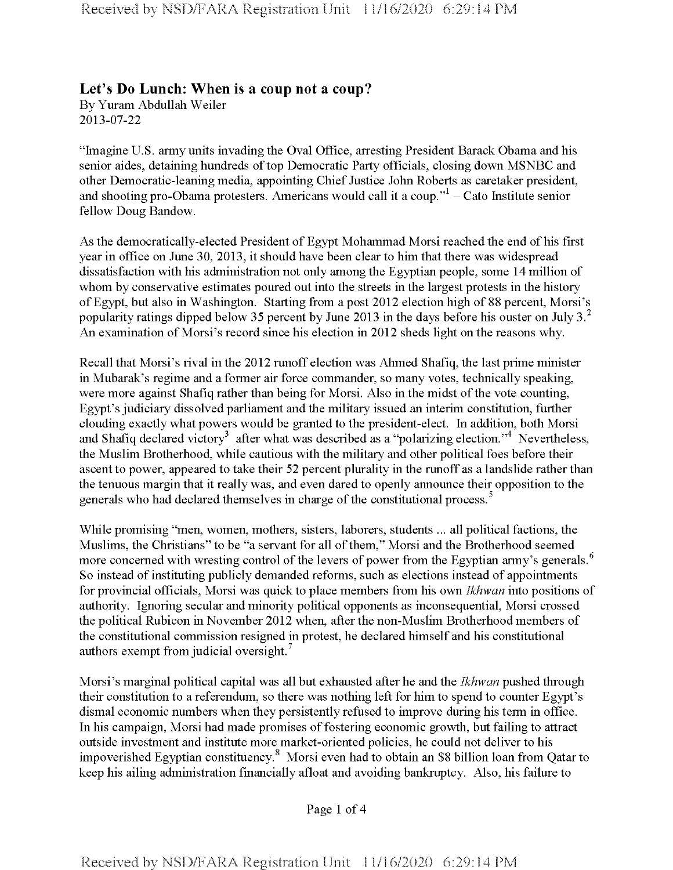## **Let's Do Lunch: When is a coup not a coup?**

By Yuram Abdullah Weiler 2013-07-22

"Imagine U.S. army units invading the Oval Office, arresting President Barack Obama and his senior aides, detaining hundreds of top Democratic Party officials, closing down MSNBC and other Democratic-leaning media, appointing Chief Justice John Roberts as caretaker president, and shooting pro-Obama protesters. Americans would call it a coup."<sup>1</sup> - Cato Institute senior fellow Doug Bandow.

As the democratically-elected President of Egypt Mohammad Morsi reached the end of his first year in office on June 30, 2013, it should have been clear to him that there was widespread dissatisfaction with his administration not only among the Egyptian people, some 14 million of whom by conservative estimates poured out into the streets in the largest protests in the history ofEgypt, but also in Washington. Starting from a post 2012 election high of 88 percent, Morsi's popularity ratings dipped below 35 percent by June 2013 in the days before his ouster on July  $3<sup>2</sup>$ An examination of Morsi's record since his election in 2012 sheds light on the reasons why.

Recall that Morsi's rival in the 2012 runoff election was Ahmed Shafiq, the last prime minister in Mubarak's regime and a former air force commander, so many votes, technically speaking, were more against Shafiq rather than being for Morsi. Also in the midst of the vote counting, Egypt's judiciary dissolved parliament and the military issued an interim constitution, further clouding exactly what powers would be granted to the president-elect. In addition, both Morsi and Shafiq declared victory<sup>3</sup> after what was described as a "polarizing election."<sup>4</sup> Nevertheless, the Muslim Brotherhood, while cautious with the military and other political foes before their ascent to power, appeared to take their 52 percent plurality in the runoff as a landslide rather than the tenuous margin that it really was, and even dared to openly announce their opposition to the generals who had declared themselves in charge of the constitutional process.<sup>5</sup>

While promising "men, women, mothers, sisters, laborers, students ... all political factions, the Muslims, the Christians" to be "a servant for all of them," Morsi and the Brotherhood seemed more concerned with wresting control of the levers of power from the Egyptian army's generals.<sup>6</sup> So instead of instituting publicly demanded reforms, such as elections instead of appointments for provincial officials, Morsi was quick to place members from his own *Ikhwan* into positions of authority. Ignoring secular and minority political opponents as inconsequential, Morsi crossed the political Rubicon in November 2012 when, after the non-Muslim Brotherhood members of the constitutional commission resigned in protest, he declared himself and his constitutional authors exempt from judicial oversight.

Morsi's marginal political capital was all but exhausted after he and the *Ikhwan* pushed through their constitution to a referendum, so there was nothing left for him to spend to counter Egypt's dismal economic numbers when they persistently refused to improve during his term in office. In his campaign, Morsi had made promises of fostering economic growth, but failing to attract outside investment and institute more market-oriented policies, he could not deliver to his impoverished Egyptian constituency.8 Morsi even had to obtain an \$8 billion loan from Qatar to keep his ailing administration financially afloat and avoiding bankruptcy. Also, his failure to

Page <sup>1</sup> of 4

Received by NSD/FARA Registration Unit 11/16/2020 6:29:14 PM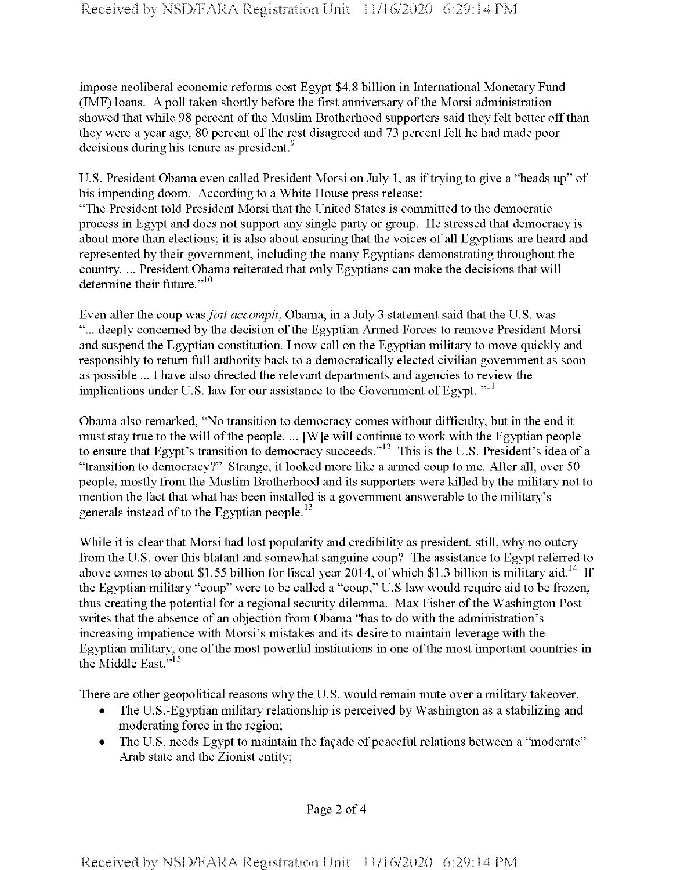impose neoliberal economic reforms cost Egypt \$4.8 billion in International Monetary Fund (IMF) loans. A poll taken shortly before the first anniversary of the Morsi administration showed that while 98 percent of the Muslim Brotherhood supporters said they felt better off than they were a year ago, 80 percent of the rest disagreed and 73 percent felt he had made poor decisions during his tenure as president.<sup>9</sup>

U.S. President Obama even called President Morsi on July 1, as iftrying to give a "heads up" of his impending doom. According to a White House press release:

"The President told President Morsi that the United States is committed to the democratic process in Egypt and does not support any single party or group. He stressed that democracy is about more than elections; it is also about ensuring that the voices of all Egyptians are heard and represented by their government, including the many Egyptians demonstrating throughout the country. ... President Obama reiterated that only Egyptians can make the decisions that will determine their future."<sup>10</sup>

Even after the coup was*fait* accompli, Obama, in a July 3 statement said that the U.S. was "... deeply concerned by the decision of the Egyptian Armed Forces to remove President Morsi and suspend the Egyptian constitution. I now call on the Egyptian military to move quickly and responsibly to return full authority back to a democratically elected civilian government as soon as possible ... I have also directed the relevant departments and agencies to review the implications under U.S. law for our assistance to the Government of Egypt. "<sup>11</sup>

Obama also remarked, "No transition to democracy comes without difficulty, but in the end it must stay true to the will of the people. ... [W]e will continue to work with the Egyptian people to ensure that Egypt's transition to democracy succeeds."<sup>12</sup> This is the U.S. President's idea of a "transition to democracy?" Strange, it looked more like a armed coup to me. After all, over 50 people, mostly from the Muslim Brotherhood and its supporters were killed by the military not to mention the fact that what has been installed is a government answerable to the military's generals instead of to the Egyptian people.<sup>13</sup>

While it is clear that Morsi had lost popularity and credibility as president, still, why no outcry from the U.S. over this blatant and somewhat sanguine coup? The assistance to Egypt referred to above comes to about \$1.55 billion for fiscal year 2014, of which \$1.3 billion is military aid.<sup>14</sup> If the Egyptian military "coup" were to be called a "coup," U.S law would require aid to be frozen, thus creating the potential for a regional security dilemma. Max Fisher ofthe Washington Post writes that the absence of an objection from Obama "has to do with the administration's increasing impatience with Morsi's mistakes and its desire to maintain leverage with the Egyptian military, one of the most powerful institutions in one of the most important countries in the Middle East."<sup>15</sup>

There are other geopolitical reasons why the U.S. would remain mute over a military takeover.

- The U.S.-Egyptian military relationship is perceived by Washington as a stabilizing and moderating force in the region;
- The U.S. needs Egypt to maintain the façade of peaceful relations between a "moderate" Arab state and the Zionist entity;

Page 2 of 4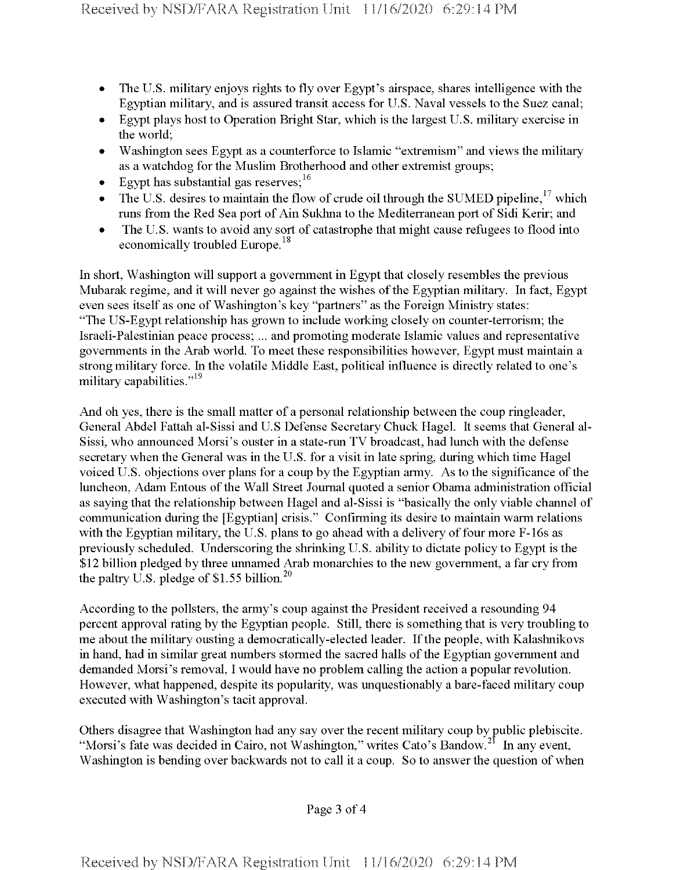- The U.S. military enjoys rights to fly over Egypt's airspace, shares intelligence with the Egyptian military, and is assured transit access for U.S. Naval vessels to the Suez canal;
- Egypt plays host to Operation Bright Star, which is the largest U.S. military exercise in the world;
- Washington sees Egypt as a counterforce to Islamic "extremism" and views the military as a watchdog for the Muslim Brotherhood and other extremist groups;
- Egypt has substantial gas reserves;  $16$
- The U.S. desires to maintain the flow of crude oil through the SUMED pipeline,<sup>17</sup> which runs from the Red Sea port of Ain Sukhna to the Mediterranean port of Sidi Kerir; and
- The U.S. wants to avoid any sort of catastrophe that might cause refugees to flood into economically troubled Europe.<sup>18</sup>

In short, Washington will support a government in Egypt that closely resembles the previous Mubarak regime, and it will never go against the wishes of the Egyptian military. In fact, Egypt even sees itself as one of Washington's key "partners" as the Foreign Ministry states: "The US-Egypt relationship has grown to include working closely on counter-terrorism; the Israeli-Palestinian peace process; ... and promoting moderate Islamic values and representative governments in the Arab world. To meet these responsibilities however, Egypt must maintain a strong military force. In the volatile Middle East, political influence is directly related to one's military capabilities."<sup>19</sup>

And oh yes, there is the small matter of a personal relationship between the coup ringleader, General Abdel Fattah al-Sissi and U.S Defense Secretary Chuck Hagel. It seems that General al-Sissi, who announced Morsi's ouster in a state-run TV broadcast, had lunch with the defense secretary when the General was in the U.S. for a visit in late spring, during which time Hagel voiced U.S. objections over plans for a coup by the Egyptian army. As to the significance of the luncheon, Adam Entous of the Wall Street Journal quoted a senior Obama administration official as saying that the relationship between Hagel and al-Sissi is "basically the only viable channel of communication during the [Egyptian] crisis." Confirming its desire to maintain warm relations with the Egyptian military, the U.S. plans to go ahead with a delivery of four more  $F-16s$  as previously scheduled. Underscoring the shrinking U.S. ability to dictate policy to Egypt is the \$12 billion pledged by three unnamed Arab monarchies to the new government, a far cry from the paltry U.S. pledge of \$1.55 billion.<sup>20</sup>

According to the pollsters, the army's coup against the President received a resounding 94 percent approval rating by the Egyptian people. Still, there is something that is very troubling to me about the military ousting a democratically-elected leader. If the people, with Kalashnikovs in hand, had in similar great numbers stormed the sacred halls of the Egyptian government and demanded Morsi's removal, I would have no problem calling the action a popular revolution. However, what happened, despite its popularity, was unquestionably a bare-faced military coup executed with Washington's tacit approval.

Others disagree that Washington had any say over the recent military coup by public plebiscite. "Morsi's fate was decided in Cairo, not Washington," writes Cato's Bandow.<sup>21</sup> In any event, Washington is bending over backwards not to call it a coup. So to answer the question of when

## Page 3 of 4

Received by NSD/FARA Registration Unit 11/16/2020 6:29:14 PM